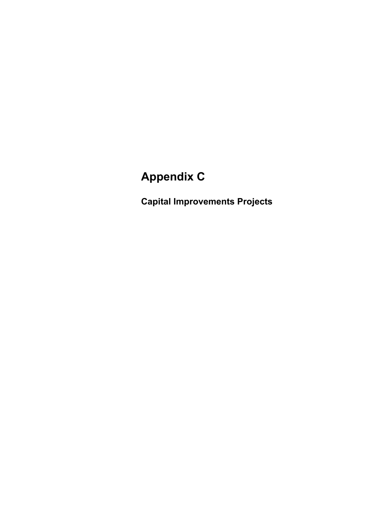# **Appendix C**

**Capital Improvements Projects**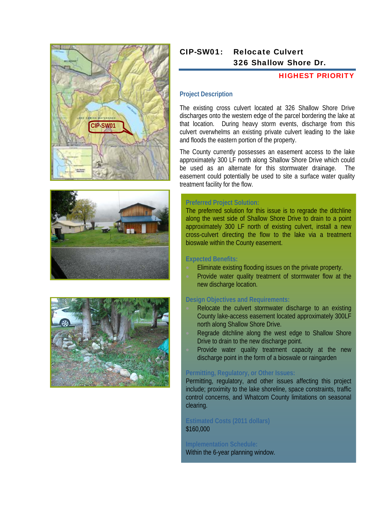





# CIP-SW01: Relocate Culvert 326 Shallow Shore Dr.

# HIGHEST PRIORITY

#### **Project Description**

The existing cross culvert located at 326 Shallow Shore Drive discharges onto the western edge of the parcel bordering the lake at that location. During heavy storm events, discharge from this culvert overwhelms an existing private culvert leading to the lake and floods the eastern portion of the property.

The County currently possesses an easement access to the lake approximately 300 LF north along Shallow Shore Drive which could be used as an alternate for this stormwater drainage. The easement could potentially be used to site a surface water quality treatment facility for the flow.

#### **Preferred Project Solution:**

The preferred solution for this issue is to regrade the ditchline along the west side of Shallow Shore Drive to drain to a point approximately 300 LF north of existing culvert, install a new cross-culvert directing the flow to the lake via a treatment bioswale within the County easement.

#### **Expected Benefits:**

- Eliminate existing flooding issues on the private property.
- Provide water quality treatment of stormwater flow at the new discharge location.

#### **Design Objectives and Requirements:**

- Relocate the culvert stormwater discharge to an existing County lake-access easement located approximately 300LF north along Shallow Shore Drive.
- Regrade ditchline along the west edge to Shallow Shore Drive to drain to the new discharge point.
- Provide water quality treatment capacity at the new discharge point in the form of a bioswale or raingarden

#### **Permitting, Regulatory, or Other Issues:**

Permitting, regulatory, and other issues affecting this project include; proximity to the lake shoreline, space constraints, traffic control concerns, and Whatcom County limitations on seasonal clearing.

#### **Estimated Costs (2011 dollars)**  \$160,000

**Implementation Schedule:**  Within the 6-year planning window.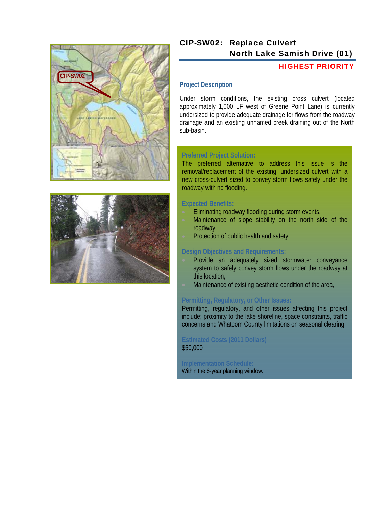



# CIP-SW02: Replace Culvert North Lake Samish Drive (01)

### HIGHEST PRIORITY

#### **Project Description**

Under storm conditions, the existing cross culvert (located approximately 1,000 LF west of Greene Point Lane) is currently undersized to provide adequate drainage for flows from the roadway drainage and an existing unnamed creek draining out of the North sub-basin.

#### **Preferred Project Solution:**

The preferred alternative to address this issue is the removal/replacement of the existing, undersized culvert with a new cross-culvert sized to convey storm flows safely under the roadway with no flooding.

#### **Expected Benefits:**

- Eliminating roadway flooding during storm events,
- Maintenance of slope stability on the north side of the roadway,
- Protection of public health and safety.

#### **Design Objectives and Requirements:**

- Provide an adequately sized stormwater conveyance system to safely convey storm flows under the roadway at this location,
- Maintenance of existing aesthetic condition of the area,

# **Permitting, Regulatory, or Other Issues:**

Permitting, regulatory, and other issues affecting this project include; proximity to the lake shoreline, space constraints, traffic concerns and Whatcom County limitations on seasonal clearing.

#### **Estimated Costs (2011 Dollars)**  \$50,000

**Implementation Schedule:**  Within the 6-year planning window.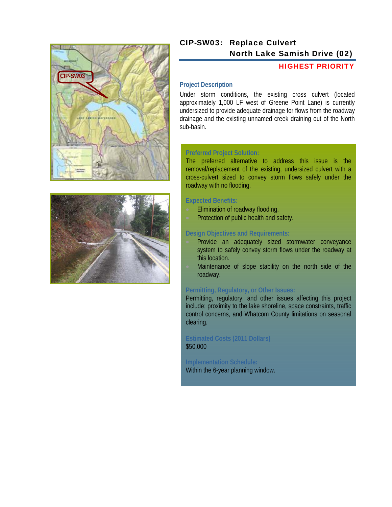



# CIP-SW03: Replace Culvert North Lake Samish Drive (02)

#### HIGHEST PRIORITY

# **Project Description**

Under storm conditions, the existing cross culvert (located approximately 1,000 LF west of Greene Point Lane) is currently undersized to provide adequate drainage for flows from the roadway drainage and the existing unnamed creek draining out of the North sub-basin.

#### **Preferred Project Solution:**

The preferred alternative to address this issue is the removal/replacement of the existing, undersized culvert with a cross-culvert sized to convey storm flows safely under the roadway with no flooding.

#### **Expected Benefits:**

- Elimination of roadway flooding,
- Protection of public health and safety.

#### **Design Objectives and Requirements:**

- Provide an adequately sized stormwater conveyance system to safely convey storm flows under the roadway at this location.
- Maintenance of slope stability on the north side of the roadway.

#### **Permitting, Regulatory, or Other Issues:**

Permitting, regulatory, and other issues affecting this project include; proximity to the lake shoreline, space constraints, traffic control concerns, and Whatcom County limitations on seasonal clearing.

### **Estimated Costs (2011 Dollars)**  \$50,000

**Implementation Schedule:**  Within the 6-year planning window.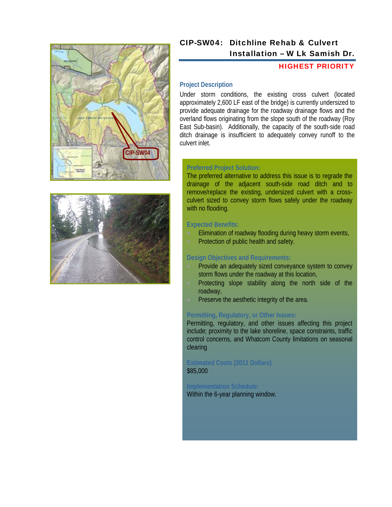



# CIP-SW04: Ditchline Rehab & Culvert Installation – W Lk Samish Dr.

#### HIGHEST PRIORITY

# **Project Description**

Under storm conditions, the existing cross culvert (located approximately 2,600 LF east of the bridge) is currently undersized to provide adequate drainage for the roadway drainage flows and the overland flows originating from the slope south of the roadway (Roy East Sub-basin). Additionally, the capacity of the south-side road ditch drainage is insufficient to adequately convey runoff to the culvert inlet.

#### **Preferred Project Solution:**

The preferred alternative to address this issue is to regrade the drainage of the adjacent south-side road ditch and to remove/replace the existing, undersized culvert with a crossculvert sized to convey storm flows safely under the roadway with no flooding.

#### **Expected Benefits:**

- Elimination of roadway flooding during heavy storm events,
- Protection of public health and safety.

### **Design Objectives and Requirements:**

- Provide an adequately sized conveyance system to convey storm flows under the roadway at this location,
- Protecting slope stability along the north side of the roadway,
- Preserve the aesthetic integrity of the area.

# **Permitting, Regulatory, or Other Issues:**

Permitting, regulatory, and other issues affecting this project include; proximity to the lake shoreline, space constraints, traffic control concerns, and Whatcom County limitations on seasonal clearing

#### **Estimated Costs (2011 Dollars)**  \$85,000

# **Implementation Schedule:**

Within the 6-year planning window.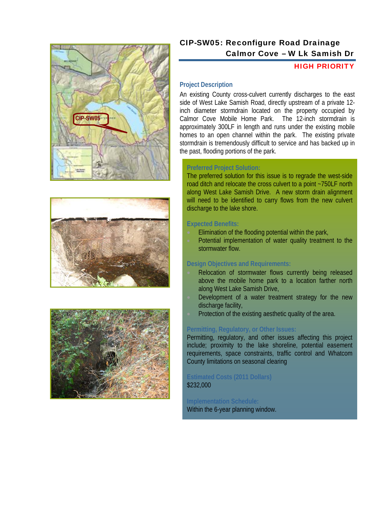





# CIP-SW05: Reconfigure Road Drainage Calmor Cove – W Lk Samish Dr

# HIGH PRIORITY

# **Project Description**

An existing County cross-culvert currently discharges to the east side of West Lake Samish Road, directly upstream of a private 12 inch diameter stormdrain located on the property occupied by Calmor Cove Mobile Home Park. The 12-inch stormdrain is approximately 300LF in length and runs under the existing mobile homes to an open channel within the park. The existing private stormdrain is tremendously difficult to service and has backed up in the past, flooding portions of the park.

# **Preferred Project Solution:**

The preferred solution for this issue is to regrade the west-side road ditch and relocate the cross culvert to a point ~750LF north along West Lake Samish Drive. A new storm drain alignment will need to be identified to carry flows from the new culvert discharge to the lake shore.

# **Expected Benefits:**

- Elimination of the flooding potential within the park,
- Potential implementation of water quality treatment to the stormwater flow.

# **Design Objectives and Requirements:**

- Relocation of stormwater flows currently being released above the mobile home park to a location farther north along West Lake Samish Drive,
- Development of a water treatment strategy for the new discharge facility,
- Protection of the existing aesthetic quality of the area.

# **Permitting, Regulatory, or Other Issues:**

Permitting, regulatory, and other issues affecting this project include; proximity to the lake shoreline, potential easement requirements, space constraints, traffic control and Whatcom County limitations on seasonal clearing

#### **Estimated Costs (2011 Dollars)**  \$232,000

**Implementation Schedule:** Within the 6-year planning window.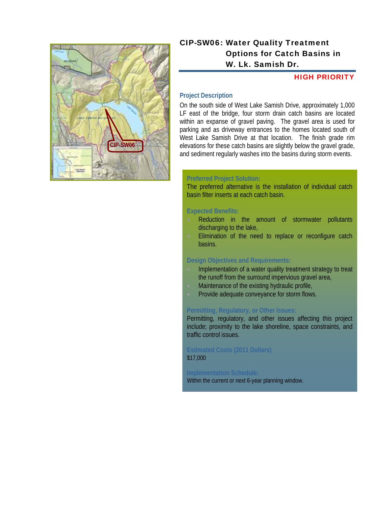

# CIP-SW06: Water Quality Treatment Options for Catch Basins in W. Lk. Samish Dr.

#### HIGH PRIORITY

### **Project Description**

On the south side of West Lake Samish Drive, approximately 1,000 LF east of the bridge, four storm drain catch basins are located within an expanse of gravel paving. The gravel area is used for parking and as driveway entrances to the homes located south of West Lake Samish Drive at that location. The finish grade rim elevations for these catch basins are slightly below the gravel grade, and sediment regularly washes into the basins during storm events.

#### **Preferred Project Solution:**

The preferred alternative is the installation of individual catch basin filter inserts at each catch basin.

#### **Expected Benefits:**

- Reduction in the amount of stormwater pollutants discharging to the lake,
- Elimination of the need to replace or reconfigure catch basins.

#### **Design Objectives and Requirements:**

- Implementation of a water quality treatment strategy to treat the runoff from the surround impervious gravel area,
- Maintenance of the existing hydraulic profile,
- Provide adequate conveyance for storm flows.

#### **Permitting, Regulatory, or Other Issues:**

Permitting, regulatory, and other issues affecting this project include; proximity to the lake shoreline, space constraints, and traffic control issues.

#### **Estimated Costs (2011 Dollars)**  \$17,000

#### **Implementation Schedule:**  Within the current or next 6-year planning window.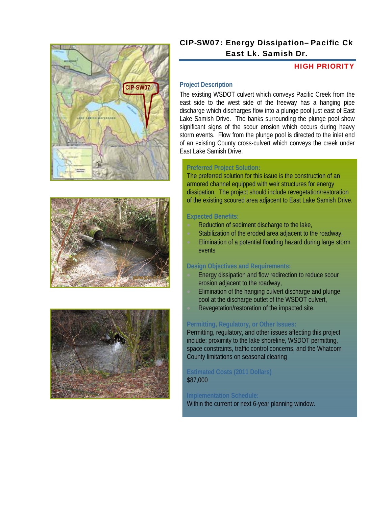





# CIP-SW07: Energy Dissipation– Pacific Ck East Lk. Samish Dr.

# HIGH PRIORITY

# **Project Description**

The existing WSDOT culvert which conveys Pacific Creek from the east side to the west side of the freeway has a hanging pipe discharge which discharges flow into a plunge pool just east of East Lake Samish Drive. The banks surrounding the plunge pool show significant signs of the scour erosion which occurs during heavy storm events. Flow from the plunge pool is directed to the inlet end of an existing County cross-culvert which conveys the creek under East Lake Samish Drive.

# **Preferred Project Solution:**

The preferred solution for this issue is the construction of an armored channel equipped with weir structures for energy dissipation. The project should include revegetation/restoration of the existing scoured area adjacent to East Lake Samish Drive.

# **Expected Benefits:**

- Reduction of sediment discharge to the lake,
- Stabilization of the eroded area adjacent to the roadway,
- Elimination of a potential flooding hazard during large storm events

# **Design Objectives and Requirements:**

- Energy dissipation and flow redirection to reduce scour erosion adjacent to the roadway,
- Elimination of the hanging culvert discharge and plunge pool at the discharge outlet of the WSDOT culvert,
- Revegetation/restoration of the impacted site.

# **Permitting, Regulatory, or Other Issues:**

Permitting, regulatory, and other issues affecting this project include; proximity to the lake shoreline, WSDOT permitting, space constraints, traffic control concerns, and the Whatcom County limitations on seasonal clearing

# **Estimated Costs (2011 Dollars)**  \$87,000

# **Implementation Schedule:**

Within the current or next 6-year planning window.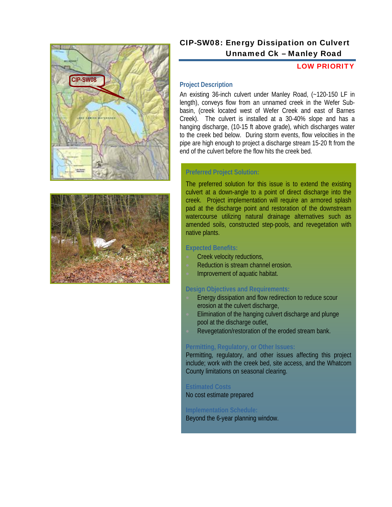



# CIP-SW08: Energy Dissipation on Culvert Unnamed Ck – Manley Road

### LOW PRIORITY

#### **Project Description**

An existing 36-inch culvert under Manley Road, (~120-150 LF in length), conveys flow from an unnamed creek in the Wefer Subbasin, (creek located west of Wefer Creek and east of Barnes Creek). The culvert is installed at a 30-40% slope and has a hanging discharge, (10-15 ft above grade), which discharges water to the creek bed below. During storm events, flow velocities in the pipe are high enough to project a discharge stream 15-20 ft from the end of the culvert before the flow hits the creek bed.

#### **Preferred Project Solution:**

The preferred solution for this issue is to extend the existing culvert at a down-angle to a point of direct discharge into the creek. Project implementation will require an armored splash pad at the discharge point and restoration of the downstream watercourse utilizing natural drainage alternatives such as amended soils, constructed step-pools, and revegetation with native plants.

#### **Expected Benefits:**

- Creek velocity reductions,
- Reduction is stream channel erosion.
- Improvement of aquatic habitat.

#### **Design Objectives and Requirements:**

- Energy dissipation and flow redirection to reduce scour erosion at the culvert discharge,
- Elimination of the hanging culvert discharge and plunge pool at the discharge outlet,
- Revegetation/restoration of the eroded stream bank.

#### **Permitting, Regulatory, or Other Issues:**

Permitting, regulatory, and other issues affecting this project include; work with the creek bed, site access, and the Whatcom County limitations on seasonal clearing.

# **Estimated Costs**

No cost estimate prepared

# **Implementation Schedule:**

Beyond the 6-year planning window.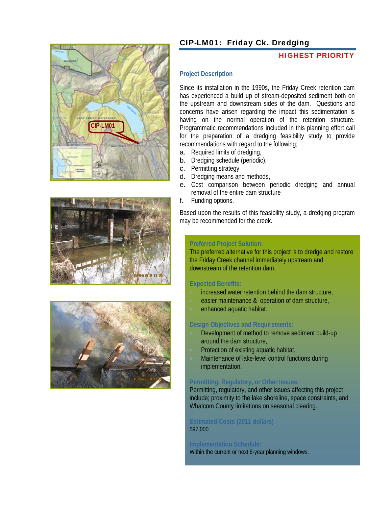





# CIP-LM01: Friday Ck. Dredging

#### HIGHEST PRIORITY

#### **Project Description**

Since its installation in the 1990s, the Friday Creek retention dam has experienced a build up of stream-deposited sediment both on the upstream and downstream sides of the dam. Questions and concerns have arisen regarding the impact this sedimentation is having on the normal operation of the retention structure. Programmatic recommendations included in this planning effort call for the preparation of a dredging feasibility study to provide recommendations with regard to the following;

- a. Required limits of dredging,
- b. Dredging schedule (periodic),
- c. Permitting strategy
- d. Dredging means and methods,
- e. Cost comparison between periodic dredging and annual removal of the entire dam structure
- f. Funding options.

Based upon the results of this feasibility study, a dredging program may be recommended for the creek.

# **Preferred Project Solution:**

The preferred alternative for this project is to dredge and restore the Friday Creek channel immediately upstream and downstream of the retention dam.

#### **Expected Benefits:**

- increased water retention behind the dam structure,
- easier maintenance & operation of dam structure,
- enhanced aquatic habitat.

#### **Design Objectives and Requirements:**

- Development of method to remove sediment build-up around the dam structure,
- Protection of existing aquatic habitat,
- Maintenance of lake-level control functions during implementation.

#### **Permitting, Regulatory, or Other Issues:**

Permitting, regulatory, and other issues affecting this project include; proximity to the lake shoreline, space constraints, and Whatcom County limitations on seasonal clearing.

#### **Estimated Costs (2011 dollars)**  \$97,000

# **Implementation Schedule:**

Within the current or next 6-year planning windows.